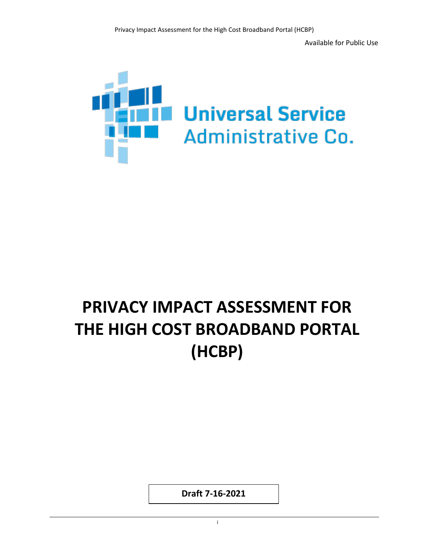Available for Public Use



# **PRIVACY IMPACT ASSESSMENT FOR THE HIGH COST BROADBAND PORTAL (HCBP)**

**Draft 7-16-2021**

in the contract of the contract of the contract of the contract of the contract of the contract of the contract of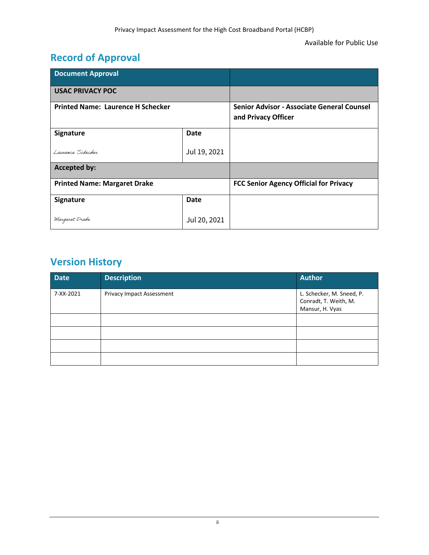## **Record of Approval**

| <b>Document Approval</b>                 |              |                                                                   |
|------------------------------------------|--------------|-------------------------------------------------------------------|
| <b>USAC PRIVACY POC</b>                  |              |                                                                   |
| <b>Printed Name: Laurence H Schecker</b> |              | Senior Advisor - Associate General Counsel<br>and Privacy Officer |
| Signature                                | Date         |                                                                   |
| Laurence Schecker                        | Jul 19, 2021 |                                                                   |
| <b>Accepted by:</b>                      |              |                                                                   |
| <b>Printed Name: Margaret Drake</b>      |              | <b>FCC Senior Agency Official for Privacy</b>                     |
| Signature                                | Date         |                                                                   |
| Margaret Drake                           | Jul 20, 2021 |                                                                   |

## **Version History**

| <b>Date</b> | <b>Description</b>        | <b>Author</b>                                                         |
|-------------|---------------------------|-----------------------------------------------------------------------|
| 7-XX-2021   | Privacy Impact Assessment | L. Schecker, M. Sneed, P.<br>Conradt, T. Weith, M.<br>Mansur, H. Vyas |
|             |                           |                                                                       |
|             |                           |                                                                       |
|             |                           |                                                                       |
|             |                           |                                                                       |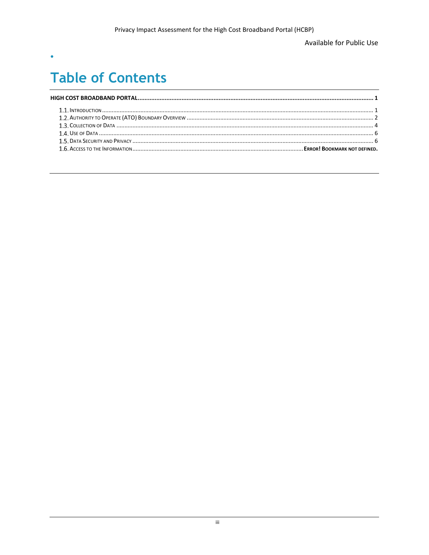Available for Public Use

# **Table of Contents**

 $\bullet$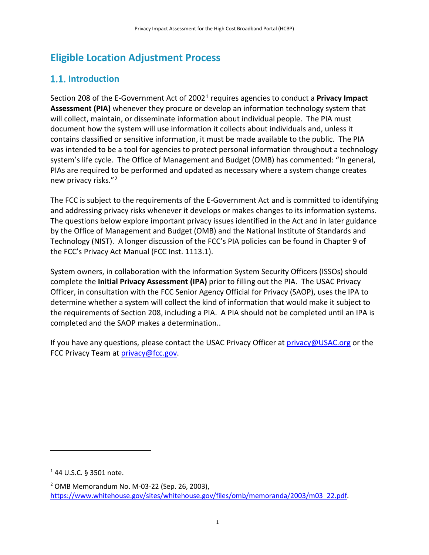## <span id="page-3-0"></span>**Eligible Location Adjustment Process**

### **1.1.** Introduction

Section 208 of the E-Government Act of 20021 requires agencies to conduct a **Privacy Impact Assessment (PIA)** whenever they procure or develop an information technology system that will collect, maintain, or disseminate information about individual people. The PIA must document how the system will use information it collects about individuals and, unless it contains classified or sensitive information, it must be made available to the public. The PIA was intended to be a tool for agencies to protect personal information throughout a technology system's life cycle. The Office of Management and Budget (OMB) has commented: "In general, PIAs are required to be performed and updated as necessary where a system change creates new privacy risks."2

The FCC is subject to the requirements of the E-Government Act and is committed to identifying and addressing privacy risks whenever it develops or makes changes to its information systems. The questions below explore important privacy issues identified in the Act and in later guidance by the Office of Management and Budget (OMB) and the National Institute of Standards and Technology (NIST). A longer discussion of the FCC's PIA policies can be found in Chapter 9 of the FCC's Privacy Act Manual (FCC Inst. 1113.1).

System owners, in collaboration with the Information System Security Officers (ISSOs) should complete the **Initial Privacy Assessment (IPA)** prior to filling out the PIA. The USAC Privacy Officer, in consultation with the FCC Senior Agency Official for Privacy (SAOP), uses the IPA to determine whether a system will collect the kind of information that would make it subject to the requirements of Section 208, including a PIA. A PIA should not be completed until an IPA is completed and the SAOP makes a determination..

If you have any questions, please contact the USAC Privacy Officer at [privacy@USAC.org](mailto:privacy@USAC.org) or the FCC Privacy Team at [privacy@fcc.gov.](mailto:privacy@fcc.gov)

 $\overline{\phantom{a}}$ 

<sup>1</sup> 44 U.S.C. § 3501 note.

<sup>2</sup> OMB Memorandum No. M-03-22 (Sep. 26, 2003), [https://www.whitehouse.gov/sites/whitehouse.gov/files/omb/memoranda/2003/m03\\_22.pdf.](https://www.whitehouse.gov/sites/whitehouse.gov/files/omb/memoranda/2003/m03_22.pdf)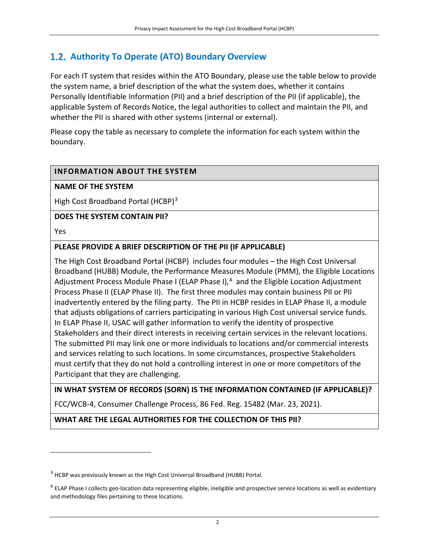### <span id="page-4-0"></span>**Authority To Operate (ATO) Boundary Overview**

For each IT system that resides within the ATO Boundary, please use the table below to provide the system name, a brief description of the what the system does, whether it contains Personally Identifiable Information (PII) and a brief description of the PII (if applicable), the applicable System of Records Notice, the legal authorities to collect and maintain the PII, and whether the PII is shared with other systems (internal or external).

Please copy the table as necessary to complete the information for each system within the boundary.

#### **INFORMATION ABOUT THE SYSTEM**

#### **NAME OF THE SYSTEM**

High Cost Broadband Portal (HCBP)<sup>3</sup>

#### **DOES THE SYSTEM CONTAIN PII?**

Yes

l

#### **PLEASE PROVIDE A BRIEF DESCRIPTION OF THE PII (IF APPLICABLE)**

The High Cost Broadband Portal (HCBP) includes four modules – the High Cost Universal Broadband (HUBB) Module, the Performance Measures Module (PMM), the Eligible Locations Adjustment Process Module Phase I (ELAP Phase I),<sup>4</sup> and the Eligible Location Adjustment Process Phase II (ELAP Phase II). The first three modules may contain business PII or PII inadvertently entered by the filing party. The PII in HCBP resides in ELAP Phase II, a module that adjusts obligations of carriers participating in various High Cost universal service funds. In ELAP Phase II, USAC will gather information to verify the identity of prospective Stakeholders and their direct interests in receiving certain services in the relevant locations. The submitted PII may link one or more individuals to locations and/or commercial interests and services relating to such locations. In some circumstances, prospective Stakeholders must certify that they do not hold a controlling interest in one or more competitors of the Participant that they are challenging.

**IN WHAT SYSTEM OF RECORDS (SORN) IS THE INFORMATION CONTAINED (IF APPLICABLE)?**

FCC/WCB-4, Consumer Challenge Process, 86 Fed. Reg. 15482 (Mar. 23, 2021).

**WHAT ARE THE LEGAL AUTHORITIES FOR THE COLLECTION OF THIS PII?**

<sup>&</sup>lt;sup>3</sup> HCBP was previously known as the High Cost Universal Broadband (HUBB) Portal.

 $<sup>4</sup>$  ELAP Phase I collects geo-location data representing eligible, ineligible and prospective service locations as well as evidentiary</sup> and methodology files pertaining to these locations.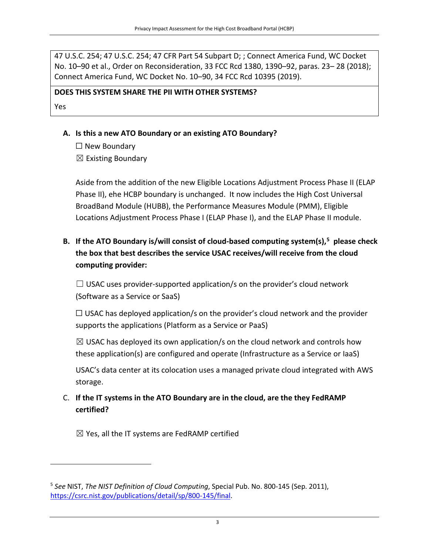47 U.S.C. 254; 47 U.S.C. 254; 47 CFR Part 54 Subpart D; ; Connect America Fund, WC Docket No. 10–90 et al., Order on Reconsideration, 33 FCC Rcd 1380, 1390–92, paras. 23– 28 (2018); Connect America Fund, WC Docket No. 10–90, 34 FCC Rcd 10395 (2019).

#### **DOES THIS SYSTEM SHARE THE PII WITH OTHER SYSTEMS?**

Yes

l

- **A. Is this a new ATO Boundary or an existing ATO Boundary?** 
	- $\Box$  New Boundary
	- $\boxtimes$  Existing Boundary

Aside from the addition of the new Eligible Locations Adjustment Process Phase II (ELAP Phase II), ehe HCBP boundary is unchanged. It now includes the High Cost Universal BroadBand Module (HUBB), the Performance Measures Module (PMM), Eligible Locations Adjustment Process Phase I (ELAP Phase I), and the ELAP Phase II module.

**B. If the ATO Boundary is/will consist of cloud-based computing system(s), 5 please check the box that best describes the service USAC receives/will receive from the cloud computing provider:** 

 $\Box$  USAC uses provider-supported application/s on the provider's cloud network (Software as a Service or SaaS)

 $\Box$  USAC has deployed application/s on the provider's cloud network and the provider supports the applications (Platform as a Service or PaaS)

 $\boxtimes$  USAC has deployed its own application/s on the cloud network and controls how these application(s) are configured and operate (Infrastructure as a Service or IaaS)

USAC's data center at its colocation uses a managed private cloud integrated with AWS storage.

C. **If the IT systems in the ATO Boundary are in the cloud, are the they FedRAMP certified?**

 $\boxtimes$  Yes, all the IT systems are FedRAMP certified

<sup>5</sup> *See* NIST, *The NIST Definition of Cloud Computing*, Special Pub. No. 800-145 (Sep. 2011), [https://csrc.nist.gov/publications/detail/sp/800-145/final.](https://csrc.nist.gov/publications/detail/sp/800-145/final)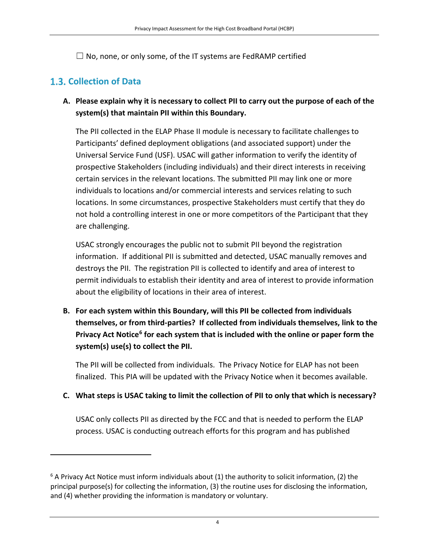$\Box$  No, none, or only some, of the IT systems are FedRAMP certified

## <span id="page-6-0"></span>**Collection of Data**

 $\overline{\phantom{a}}$ 

**A. Please explain why it is necessary to collect PII to carry out the purpose of each of the system(s) that maintain PII within this Boundary.**

The PII collected in the ELAP Phase II module is necessary to facilitate challenges to Participants' defined deployment obligations (and associated support) under the Universal Service Fund (USF). USAC will gather information to verify the identity of prospective Stakeholders (including individuals) and their direct interests in receiving certain services in the relevant locations. The submitted PII may link one or more individuals to locations and/or commercial interests and services relating to such locations. In some circumstances, prospective Stakeholders must certify that they do not hold a controlling interest in one or more competitors of the Participant that they are challenging.

USAC strongly encourages the public not to submit PII beyond the registration information. If additional PII is submitted and detected, USAC manually removes and destroys the PII. The registration PII is collected to identify and area of interest to permit individuals to establish their identity and area of interest to provide information about the eligibility of locations in their area of interest.

**B. For each system within this Boundary, will this PII be collected from individuals themselves, or from third-parties? If collected from individuals themselves, link to the Privacy Act Notice<sup>6</sup> for each system that is included with the online or paper form the system(s) use(s) to collect the PII.** 

The PII will be collected from individuals. The Privacy Notice for ELAP has not been finalized. This PIA will be updated with the Privacy Notice when it becomes available.

#### **C. What steps is USAC taking to limit the collection of PII to only that which is necessary?**

USAC only collects PII as directed by the FCC and that is needed to perform the ELAP process. USAC is conducting outreach efforts for this program and has published

 $6$  A Privacy Act Notice must inform individuals about (1) the authority to solicit information, (2) the principal purpose(s) for collecting the information, (3) the routine uses for disclosing the information, and (4) whether providing the information is mandatory or voluntary.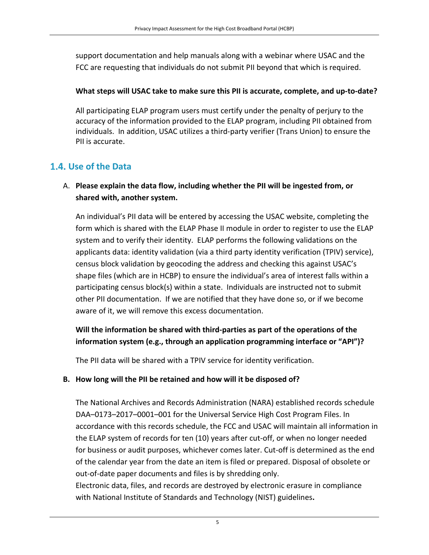support documentation and help manuals along with a webinar where USAC and the FCC are requesting that individuals do not submit PII beyond that which is required.

#### **What steps will USAC take to make sure this PII is accurate, complete, and up-to-date?**

All participating ELAP program users must certify under the penalty of perjury to the accuracy of the information provided to the ELAP program, including PII obtained from individuals. In addition, USAC utilizes a third-party verifier (Trans Union) to ensure the PII is accurate.

### **Use of the Data**

#### A. **Please explain the data flow, including whether the PII will be ingested from, or shared with, another system.**

An individual's PII data will be entered by accessing the USAC website, completing the form which is shared with the ELAP Phase II module in order to register to use the ELAP system and to verify their identity. ELAP performs the following validations on the applicants data: identity validation (via a third party identity verification (TPIV) service), census block validation by geocoding the address and checking this against USAC's shape files (which are in HCBP) to ensure the individual's area of interest falls within a participating census block(s) within a state. Individuals are instructed not to submit other PII documentation. If we are notified that they have done so, or if we become aware of it, we will remove this excess documentation.

#### **Will the information be shared with third-parties as part of the operations of the information system (e.g., through an application programming interface or "API")?**

The PII data will be shared with a TPIV service for identity verification.

with National Institute of Standards and Technology (NIST) guidelines**.**

#### **B. How long will the PII be retained and how will it be disposed of?**

The National Archives and Records Administration (NARA) established records schedule DAA–0173–2017–0001–001 for the Universal Service High Cost Program Files. In accordance with this records schedule, the FCC and USAC will maintain all information in the ELAP system of records for ten (10) years after cut-off, or when no longer needed for business or audit purposes, whichever comes later. Cut-off is determined as the end of the calendar year from the date an item is filed or prepared. Disposal of obsolete or out-of-date paper documents and files is by shredding only. Electronic data, files, and records are destroyed by electronic erasure in compliance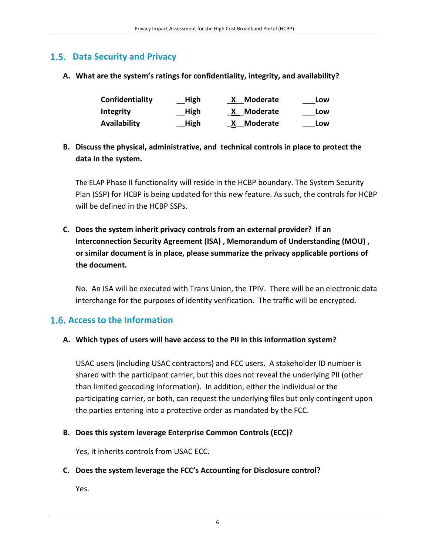#### <span id="page-8-0"></span> **Data Security and Privacy**

**A. What are the system's ratings for confidentiality, integrity, and availability?**

| Confidentiality     | High | Moderate   | Low |
|---------------------|------|------------|-----|
| <b>Integrity</b>    | High | X Moderate | Low |
| <b>Availability</b> | High | X Moderate | Low |

**B. Discuss the physical, administrative, and technical controls in place to protect the data in the system.**

The ELAP Phase II functionality will reside in the HCBP boundary. The System Security Plan (SSP) for HCBP is being updated for this new feature. As such, the controls for HCBP will be defined in the HCBP SSPs.

**C. Does the system inherit privacy controls from an external provider? If an Interconnection Security Agreement (ISA) , Memorandum of Understanding (MOU) , or similar document is in place, please summarize the privacy applicable portions of the document.** 

No. An ISA will be executed with Trans Union, the TPIV. There will be an electronic data interchange for the purposes of identity verification. The traffic will be encrypted.

#### **Access to the Information**

**A. Which types of users will have access to the PII in this information system?**

USAC users (including USAC contractors) and FCC users. A stakeholder ID number is shared with the participant carrier, but this does not reveal the underlying PII (other than limited geocoding information). In addition, either the individual or the participating carrier, or both, can request the underlying files but only contingent upon the parties entering into a protective order as mandated by the FCC.

#### **B. Does this system leverage Enterprise Common Controls (ECC)?**

Yes, it inherits controls from USAC ECC.

#### **C. Does the system leverage the FCC's Accounting for Disclosure control?**

Yes.